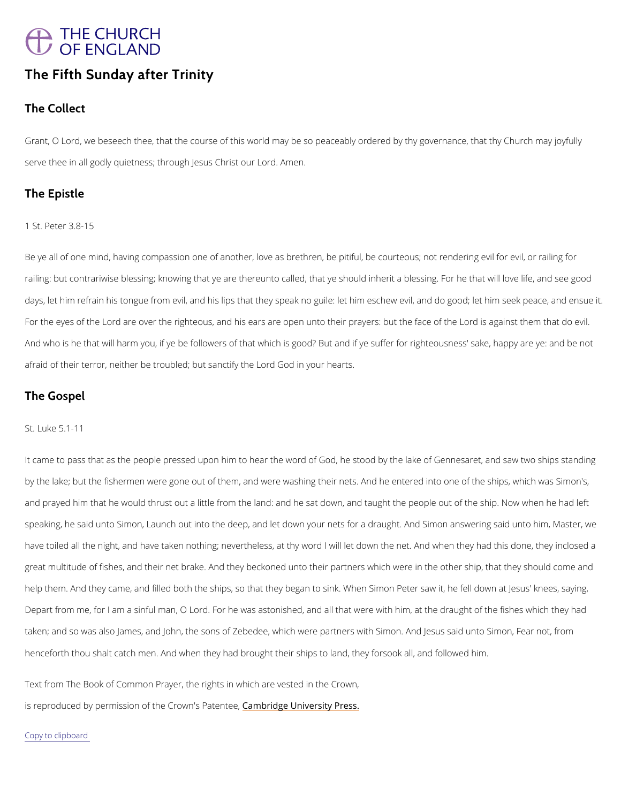## THE CHURCH<br>OF ENGLAND

## The Fifth Sunday after Trinity

The Collect

Grant O Lord, we beseech thee, that the course of this world may be so peaceably ordered by serve thee in all godly quietness; througAhm bensus Christ our Lord.

The Epistle

1 St. Peter 3.8-15

Beye all of one mind, having compassion one of another, love as brethren, be pitiful, be cour railing: but contrariwise blessing; knowing that ye are thereunto called, that ye should inher days, let him refrain his tongue from evil, and his lips that they speak no guile: let him esch For the eyes of the Lord are over the righteous, and his ears are open unto their prayers: bu And who is he that will harm you, if ye be followers of that which is good? But and if ye suff afraid of their terror, neither be troubled; but sanctify the Lord God in your hearts.

The Gospel

St. Luke 5.1-11

Itcame to pass that as the people pressed upon him to hear the word of God, he stood by the by the lake; but the fishermen were gone out of them, and were washing their nets. And he e and prayed him that he would thrust out a little from the land: and he sat down, and taught t speaking, he said unto Simon, Launch out into the deep, and let down your nets for a draugh have toiled all the night, and have taken nothing; nevertheless, at thy word I will let down th great multitude of fishes, and their net brake. And they beckoned unto their partners which v help them. And they came, and filled both the ships, so that they began to sink. When Simon

Depart from me, for I am a sinful man, O Lord. For he was astonished, and all that were with

taken; and so was also James, and John, the sons of Zebedee, which were partners with Simo

henceforth thou shalt catch men. And when they had brought their ships to land, they forsool

Text from The Book of Common Prayer, the rights in which are vested in the Crown,

is reproduced by permission of the  $C$   $\mathcal{E}$  m dow ind  $g$  eP  $d$  heime  $e$  and  $f$   $y$   $P$  ress.

Copy to clipboard